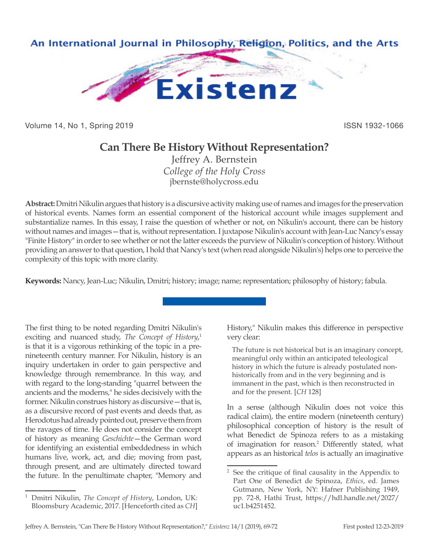

Volume 14, No 1, Spring 2019 **ISSN 1932-1066** 

## **Can There Be History Without Representation?**

Jeffrey A. Bernstein *College of the Holy Cross* jbernste@holycross.edu

**Abstract:** Dmitri Nikulin argues that history is a discursive activity making use of names and images for the preservation of historical events. Names form an essential component of the historical account while images supplement and substantialize names. In this essay, I raise the question of whether or not, on Nikulin's account, there can be history without names and images—that is, without representation. I juxtapose Nikulin's account with Jean-Luc Nancy's essay "Finite History" in order to see whether or not the latter exceeds the purview of Nikulin's conception of history. Without providing an answer to that question, I hold that Nancy's text (when read alongside Nikulin's) helps one to perceive the complexity of this topic with more clarity.

**Keywords:** Nancy, Jean-Luc; Nikulin, Dmitri; history; image; name; representation; philosophy of history; fabula.

The first thing to be noted regarding Dmitri Nikulin's exciting and nuanced study, *The Concept of History*, 1 is that it is a vigorous rethinking of the topic in a prenineteenth century manner. For Nikulin, history is an inquiry undertaken in order to gain perspective and knowledge through remembrance. In this way, and with regard to the long-standing "quarrel between the ancients and the moderns," he sides decisively with the former. Nikulin construes history as discursive—that is, as a discursive record of past events and deeds that, as Herodotus had already pointed out, preserve them from the ravages of time. He does not consider the concept of history as meaning *Geschichte*—the German word for identifying an existential embeddedness in which humans live, work, act, and die; moving from past, through present, and are ultimately directed toward the future. In the penultimate chapter, "Memory and

History," Nikulin makes this difference in perspective very clear:

The future is not historical but is an imaginary concept, meaningful only within an anticipated teleological history in which the future is already postulated nonhistorically from and in the very beginning and is immanent in the past, which is then reconstructed in and for the present. [*CH* 128]

In a sense (although Nikulin does not voice this radical claim), the entire modern (nineteenth century) philosophical conception of history is the result of what Benedict de Spinoza refers to as a mistaking of imagination for reason.2 Differently stated, what appears as an historical *telos* is actually an imaginative

<sup>1</sup> Dmitri Nikulin, *The Concept of History*, London, UK: Bloomsbury Academic, 2017. [Henceforth cited as *CH*]

<sup>2</sup> See the critique of final causality in the Appendix to Part One of Benedict de Spinoza, *Ethics*, ed. James Gutmann, New York, NY: Hafner Publishing 1949, pp. 72-8, Hathi Trust, https://hdl.handle.net/2027/ uc1.b4251452.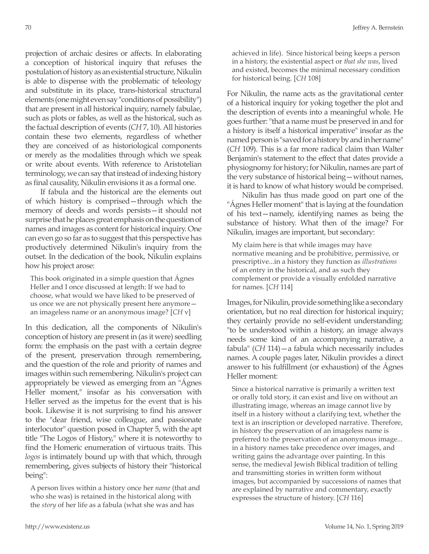projection of archaic desires or affects. In elaborating a conception of historical inquiry that refuses the postulation of history as an existential structure, Nikulin is able to dispense with the problematic of teleology and substitute in its place, trans-historical structural elements (one might even say "conditions of possibility") that are present in all historical inquiry, namely fabulae, such as plots or fables, as well as the historical, such as the factual description of events (*CH* 7, 10). All histories contain these two elements, regardless of whether they are conceived of as historiological components or merely as the modalities through which we speak or write about events. With reference to Aristotelian terminology, we can say that instead of indexing history as final causality, Nikulin envisions it as a formal one.

If fabula and the historical are the elements out of which history is comprised—through which the memory of deeds and words persists—it should not surprise that he places great emphasis on the question of names and images as content for historical inquiry. One can even go so far as to suggest that this perspective has productively determined Nikulin's inquiry from the outset. In the dedication of the book, Nikulin explains how his project arose:

This book originated in a simple question that Ágnes Heller and I once discussed at length: If we had to choose, what would we have liked to be preserved of us once we are not physically present here anymore an imageless name or an anonymous image? [*CH* v]

In this dedication, all the components of Nikulin's conception of history are present in (as it were) seedling form: the emphasis on the past with a certain degree of the present, preservation through remembering, and the question of the role and priority of names and images within such remembering. Nikulin's project can appropriately be viewed as emerging from an "Ágnes Heller moment," insofar as his conversation with Heller served as the impetus for the event that is his book. Likewise it is not surprising to find his answer to the "dear friend, wise colleague, and passionate interlocutor" question posed in Chapter 5, with the apt title "The Logos of History," where it is noteworthy to find the Homeric enumeration of virtuous traits. This *logos* is intimately bound up with that which, through remembering, gives subjects of history their "historical being":

A person lives within a history once her *name* (that and who she was) is retained in the historical along with the *story* of her life as a fabula (what she was and has

achieved in life). Since historical being keeps a person in a history, the existential aspect or *that she was*, lived and existed, becomes the minimal necessary condition for historical being. [*CH* 108]

For Nikulin, the name acts as the gravitational center of a historical inquiry for yoking together the plot and the description of events into a meaningful whole. He goes further: "that a name must be preserved in and for a history is itself a historical imperative" insofar as the named person is "saved for a history by and in her name" (*CH* 109). This is a far more radical claim than Walter Benjamin's statement to the effect that dates provide a physiognomy for history; for Nikulin, names are part of the very substance of historical being—without names, it is hard to know of what history would be comprised.

Nikulin has thus made good on part one of the "Ágnes Heller moment" that is laying at the foundation of his text—namely, identifying names as being the substance of history. What then of the image? For Nikulin, images are important, but secondary:

My claim here is that while images may have normative meaning and be prohibitive, permissive, or prescriptive...in a history they function as *illustrations* of an entry in the historical, and as such they complement or provide a visually enfolded narrative for names. [*CH* 114]

Images, for Nikulin, provide something like a secondary orientation, but no real direction for historical inquiry; they certainly provide no self-evident understanding: "to be understood within a history, an image always needs some kind of an accompanying narrative, a fabula" (*CH* 114)—a fabula which necessarily includes names. A couple pages later, Nikulin provides a direct answer to his fulfillment (or exhaustion) of the Ágnes Heller moment:

Since a historical narrative is primarily a written text or orally told story, it can exist and live on without an illustrating image, whereas an image cannot live by itself in a history without a clarifying text, whether the text is an inscription or developed narrative. Therefore, in history the preservation of an imageless name is preferred to the preservation of an anonymous image... in a history names take precedence over images, and writing gains the advantage over painting. In this sense, the medieval Jewish Biblical tradition of telling and transmitting stories in written form without images, but accompanied by successions of names that are explained by narrative and commentary, exactly expresses the structure of history. [*CH* 116]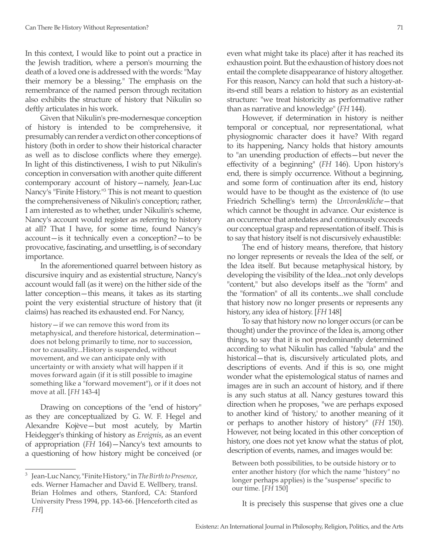In this context, I would like to point out a practice in the Jewish tradition, where a person's mourning the death of a loved one is addressed with the words: "May their memory be a blessing." The emphasis on the remembrance of the named person through recitation also exhibits the structure of history that Nikulin so deftly articulates in his work.

Given that Nikulin's pre-modernesque conception of history is intended to be comprehensive, it presumably can render a verdict on other conceptions of history (both in order to show their historical character as well as to disclose conflicts where they emerge). In light of this distinctiveness, I wish to put Nikulin's conception in conversation with another quite different contemporary account of history—namely, Jean-Luc Nancy's "Finite History."3 This is not meant to question the comprehensiveness of Nikulin's conception; rather, I am interested as to whether, under Nikulin's scheme, Nancy's account would register as referring to history at all? That I have, for some time, found Nancy's account—is it technically even a conception?—to be provocative, fascinating, and unsettling, is of secondary importance.

In the aforementioned quarrel between history as discursive inquiry and as existential structure, Nancy's account would fall (as it were) on the hither side of the latter conception—this means, it takes as its starting point the very existential structure of history that (it claims) has reached its exhausted end. For Nancy,

history—if we can remove this word from its metaphysical, and therefore historical, determination does not belong primarily to time, nor to succession, nor to causality...History is suspended, without movement, and we can anticipate only with uncertainty or with anxiety what will happen if it moves forward again (if it is still possible to imagine something like a "forward movement"), or if it does not move at all. [*FH* 143-4]

Drawing on conceptions of the "end of history" as they are conceptualized by G. W. F. Hegel and Alexandre Kojève—but most acutely, by Martin Heidegger's thinking of history as *Ereignis*, as an event of appropriation (*FH* 164)—Nancy's text amounts to a questioning of how history might be conceived (or even what might take its place) after it has reached its exhaustion point. But the exhaustion of history does not entail the complete disappearance of history altogether. For this reason, Nancy can hold that such a history-atits-end still bears a relation to history as an existential structure: "we treat historicity as performative rather than as narrative and knowledge" (*FH* 144).

However, if determination in history is neither temporal or conceptual, nor representational, what physiognomic character does it have? With regard to its happening, Nancy holds that history amounts to "an unending production of effects—but never the effectivity of a beginning" (*FH* 146). Upon history's end, there is simply occurrence. Without a beginning, and some form of continuation after its end, history would have to be thought as the existence of (to use Friedrich Schelling's term) the *Unvordenkliche*—that which cannot be thought in advance. Our existence is an occurrence that antedates and continuously exceeds our conceptual grasp and representation of itself. This is to say that history itself is not discursively exhaustible:

The end of history means, therefore, that history no longer represents or reveals the Idea of the self, or the Idea itself. But because metaphysical history, by developing the visibility of the Idea...not only develops "content," but also develops itself as the "form" and the "formation" of all its contents...we shall conclude that history now no longer presents or represents any history, any idea of history. [*FH* 148]

To say that history now no longer occurs (or can be thought) under the province of the Idea is, among other things, to say that it is not predominantly determined according to what Nikulin has called "fabula" and the historical—that is, discursively articulated plots, and descriptions of events. And if this is so, one might wonder what the epistemological status of names and images are in such an account of history, and if there is any such status at all. Nancy gestures toward this direction when he proposes, "we are perhaps exposed to another kind of 'history,' to another meaning of it or perhaps to another history of history" (*FH* 150). However, not being located in this other conception of history, one does not yet know what the status of plot, description of events, names, and images would be:

Between both possibilities, to be outside history or to enter another history (for which the name "history" no longer perhaps applies) is the "suspense" specific to our time. [*FH* 150]

It is precisely this suspense that gives one a clue

<sup>3</sup> Jean-Luc Nancy, "Finite History," in *The Birth to Presence*, eds. Werner Hamacher and David E. Wellbery, transl. Brian Holmes and others, Stanford, CA: Stanford University Press 1994, pp. 143-66. [Henceforth cited as *FH*]